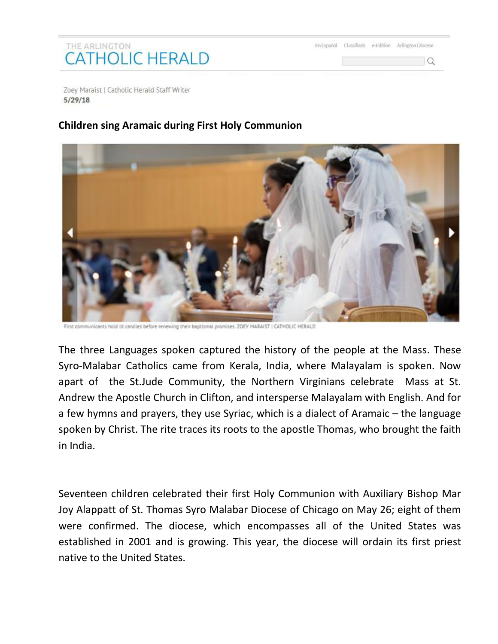## THE ARLINGTON **CATHOLIC HERALD**

En Español Classifieds e-Edition Arlington Diocese

 $\overline{a}$ 

Zoey Maraist | Catholic Herald Staff Writer  $5/29/18$ 

## **Children sing Aramaic during First Holy Communion**



First communicants hold lit candles before renewing their baptismal promises. ZOEY MARAIST | CATHOLIC HERALD

The three Languages spoken captured the history of the people at the Mass. These Syro-Malabar Catholics came from Kerala, India, where Malayalam is spoken. Now apart of the St.Jude Community, the Northern Virginians celebrate Mass at St. Andrew the Apostle Church in Clifton, and intersperse Malayalam with English. And for a few hymns and prayers, they use Syriac, which is a dialect of Aramaic – the language spoken by Christ. The rite traces its roots to the apostle Thomas, who brought the faith in India.

Seventeen children celebrated their first Holy Communion with Auxiliary Bishop Mar Joy Alappatt of St. Thomas Syro Malabar Diocese of Chicago on May 26; eight of them were confirmed. The diocese, which encompasses all of the United States was established in 2001 and is growing. This year, the diocese will ordain its first priest native to the United States.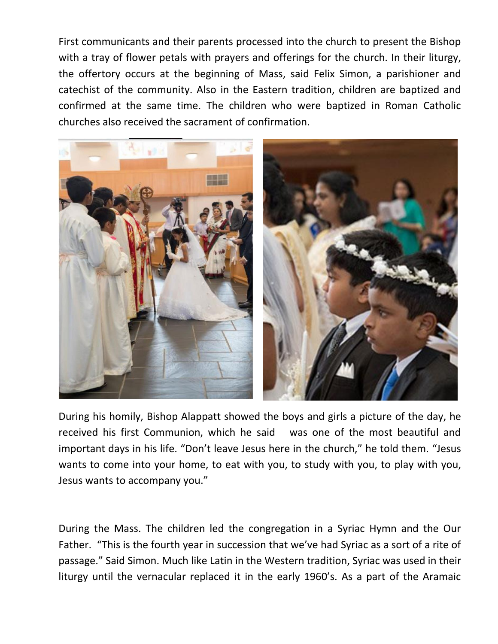First communicants and their parents processed into the church to present the Bishop with a tray of flower petals with prayers and offerings for the church. In their liturgy, the offertory occurs at the beginning of Mass, said Felix Simon, a parishioner and catechist of the community. Also in the Eastern tradition, children are baptized and confirmed at the same time. The children who were baptized in Roman Catholic churches also received the sacrament of confirmation.



During his homily, Bishop Alappatt showed the boys and girls a picture of the day, he received his first Communion, which he said was one of the most beautiful and important days in his life. "Don't leave Jesus here in the church," he told them. "Jesus wants to come into your home, to eat with you, to study with you, to play with you, Jesus wants to accompany you."

During the Mass. The children led the congregation in a Syriac Hymn and the Our Father. "This is the fourth year in succession that we've had Syriac as a sort of a rite of passage." Said Simon. Much like Latin in the Western tradition, Syriac was used in their liturgy until the vernacular replaced it in the early 1960's. As a part of the Aramaic